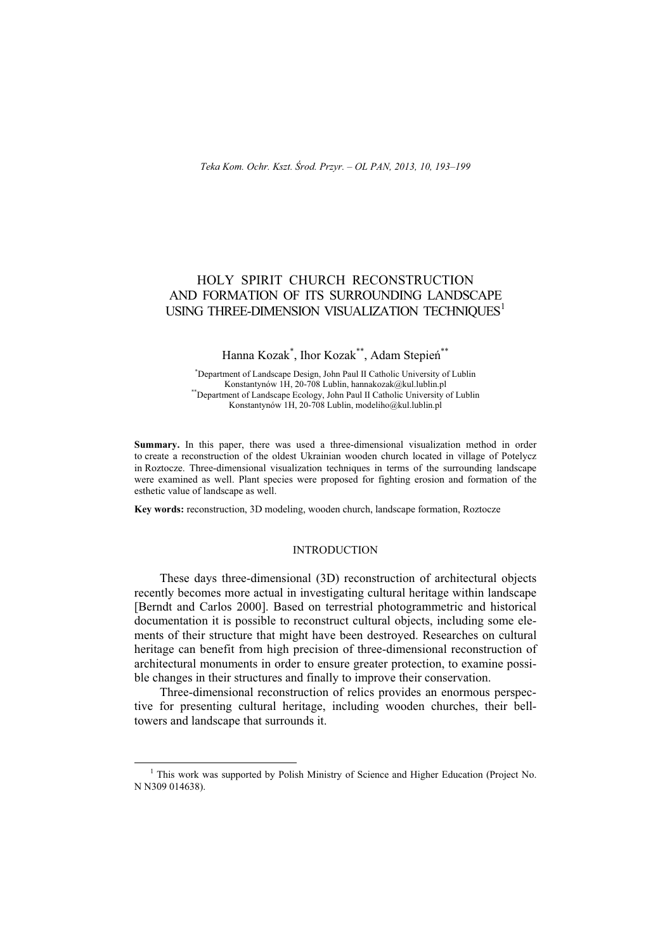# HOLY SPIRIT CHURCH RECONSTRUCTION AND FORMATION OF ITS SURROUNDING LANDSCAPE USING THREE-DIMENSION VISUALIZATION TECHNIQUES<sup>1</sup>

Hanna Kozak<sup>\*</sup>, Ihor Kozak<sup>\*\*</sup>, Adam Stepień<sup>\*\*</sup>

\*Department of Landscape Design, John Paul II Catholic University of Lublin Konstantynów 1H, 20-708 Lublin, hannakozak@kul.lublin.pl \*\*Department of Landscape Ecology, John Paul II Catholic University of Lublin Konstantynów 1H, 20-708 Lublin, modeliho@kul.lublin.pl

**Summary.** In this paper, there was used a three-dimensional visualization method in order to create a reconstruction of the oldest Ukrainian wooden church located in village of Potelycz in Roztocze. Three-dimensional visualization techniques in terms of the surrounding landscape were examined as well. Plant species were proposed for fighting erosion and formation of the esthetic value of landscape as well.

**Key words:** reconstruction, 3D modeling, wooden church, landscape formation, Roztocze

### INTRODUCTION

These days three-dimensional (3D) reconstruction of architectural objects recently becomes more actual in investigating cultural heritage within landscape [Berndt and Carlos 2000]. Based on terrestrial photogrammetric and historical documentation it is possible to reconstruct cultural objects, including some elements of their structure that might have been destroyed. Researches on cultural heritage can benefit from high precision of three-dimensional reconstruction of architectural monuments in order to ensure greater protection, to examine possible changes in their structures and finally to improve their conservation.

Three-dimensional reconstruction of relics provides an enormous perspective for presenting cultural heritage, including wooden churches, their belltowers and landscape that surrounds it.

<sup>&</sup>lt;sup>1</sup> This work was supported by Polish Ministry of Science and Higher Education (Project No. N N309 014638).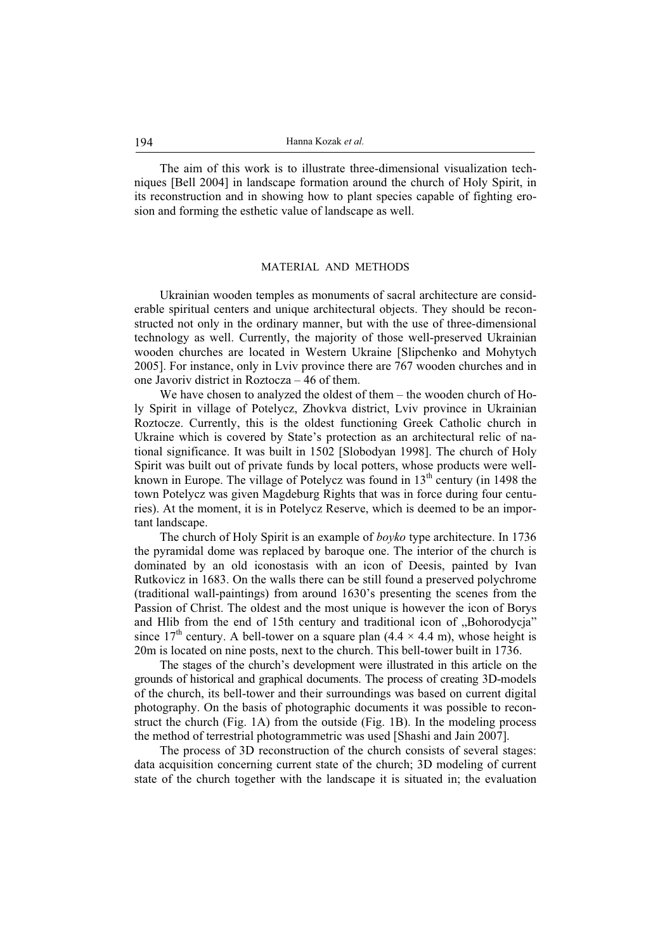The aim of this work is to illustrate three-dimensional visualization techniques [Bell 2004] in landscape formation around the church of Holy Spirit, in its reconstruction and in showing how to plant species capable of fighting erosion and forming the esthetic value of landscape as well.

## MATERIAL AND METHODS

Ukrainian wooden temples as monuments of sacral architecture are considerable spiritual centers and unique architectural objects. They should be reconstructed not only in the ordinary manner, but with the use of three-dimensional technology as well. Currently, the majority of those well-preserved Ukrainian wooden churches are located in Western Ukraine [Slipchenko and Mohytych 2005]. For instance, only in Lviv province there are 767 wooden churches and in one Javoriv district in Roztocza – 46 of them.

We have chosen to analyzed the oldest of them – the wooden church of Holy Spirit in village of Potelycz, Zhovkva district, Lviv province in Ukrainian Roztocze. Currently, this is the oldest functioning Greek Catholic church in Ukraine which is covered by State's protection as an architectural relic of national significance. It was built in 1502 [Slobodyan 1998]. The church of Holy Spirit was built out of private funds by local potters, whose products were wellknown in Europe. The village of Potelycz was found in  $13<sup>th</sup>$  century (in 1498 the town Potelycz was given Magdeburg Rights that was in force during four centuries). At the moment, it is in Potelycz Reserve, which is deemed to be an important landscape.

The church of Holy Spirit is an example of *boyko* type architecture. In 1736 the pyramidal dome was replaced by baroque one. The interior of the church is dominated by an old iconostasis with an icon of Deesis, painted by Ivan Rutkovicz in 1683. On the walls there can be still found a preserved polychrome (traditional wall-paintings) from around 1630's presenting the scenes from the Passion of Christ. The oldest and the most unique is however the icon of Borys and Hlib from the end of 15th century and traditional icon of "Bohorodycja" since  $17<sup>th</sup>$  century. A bell-tower on a square plan (4.4  $\times$  4.4 m), whose height is 20m is located on nine posts, next to the church. This bell-tower built in 1736.

The stages of the church's development were illustrated in this article on the grounds of historical and graphical documents. The process of creating 3D-models of the church, its bell-tower and their surroundings was based on current digital photography. On the basis of photographic documents it was possible to reconstruct the church (Fig. 1A) from the outside (Fig. 1B). In the modeling process the method of terrestrial photogrammetric was used [Shashi and Jain 2007].

The process of 3D reconstruction of the church consists of several stages: data acquisition concerning current state of the church; 3D modeling of current state of the church together with the landscape it is situated in; the evaluation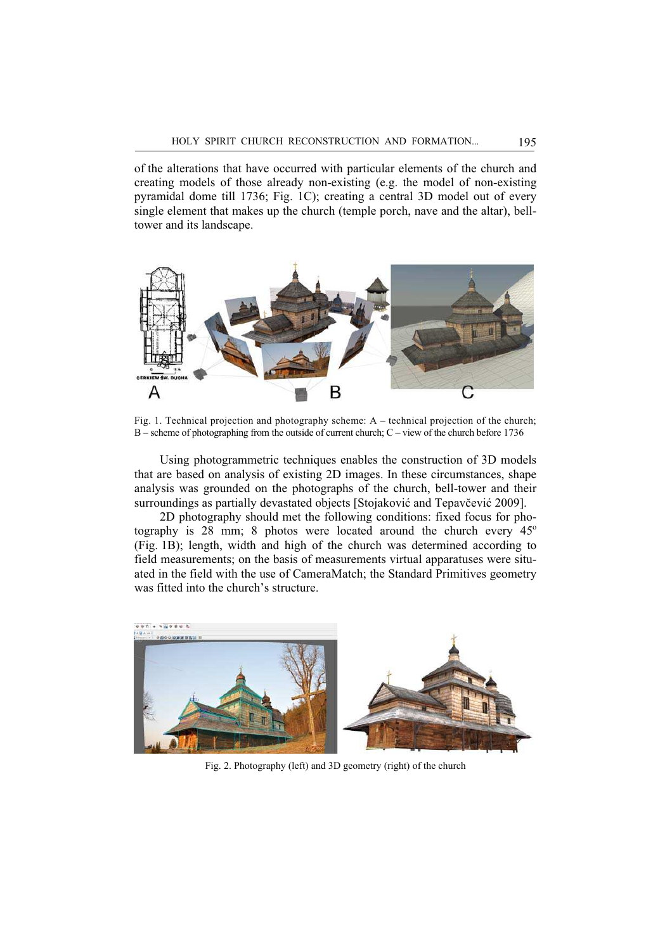of the alterations that have occurred with particular elements of the church and creating models of those already non-existing (e.g. the model of non-existing pyramidal dome till 1736; Fig. 1C); creating a central 3D model out of every single element that makes up the church (temple porch, nave and the altar), belltower and its landscape.



Fig. 1. Technical projection and photography scheme: A – technical projection of the church; B – scheme of photographing from the outside of current church;  $C$  – view of the church before 1736

Using photogrammetric techniques enables the construction of 3D models that are based on analysis of existing 2D images. In these circumstances, shape analysis was grounded on the photographs of the church, bell-tower and their surroundings as partially devastated objects [Stojaković and Tepavčević 2009].

2D photography should met the following conditions: fixed focus for photography is  $28$  mm; 8 photos were located around the church every  $45^\circ$ (Fig. 1B); length, width and high of the church was determined according to field measurements; on the basis of measurements virtual apparatuses were situated in the field with the use of CameraMatch; the Standard Primitives geometry was fitted into the church's structure.



Fig. 2. Photography (left) and 3D geometry (right) of the church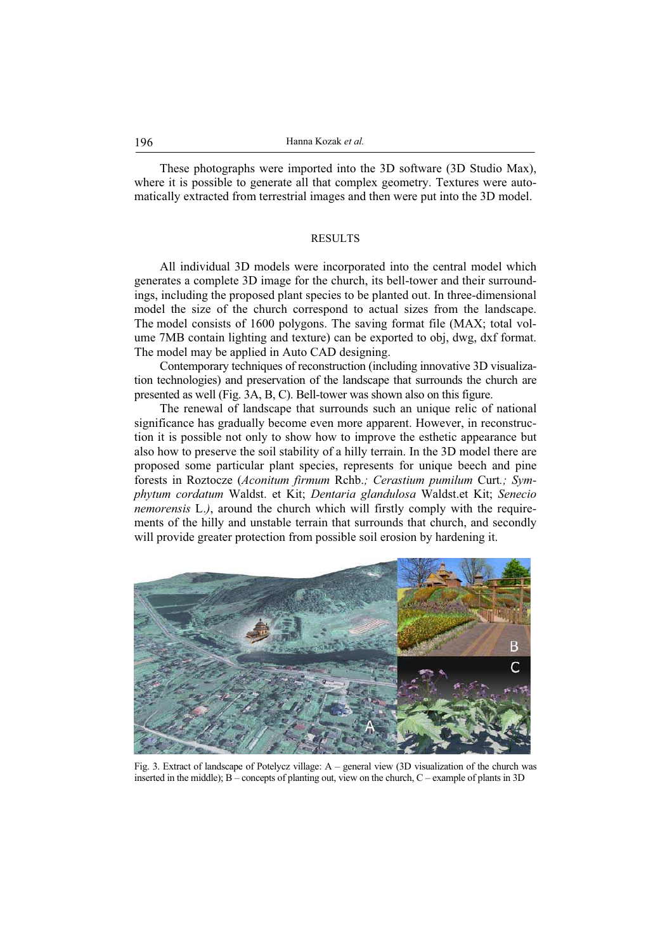These photographs were imported into the 3D software (3D Studio Max), where it is possible to generate all that complex geometry. Textures were automatically extracted from terrestrial images and then were put into the 3D model.

#### RESULTS

All individual 3D models were incorporated into the central model which generates a complete 3D image for the church, its bell-tower and their surroundings, including the proposed plant species to be planted out. In three-dimensional model the size of the church correspond to actual sizes from the landscape. The model consists of 1600 polygons. The saving format file (MAX; total volume 7MB contain lighting and texture) can be exported to obj, dwg, dxf format. The model may be applied in Auto CAD designing.

Contemporary techniques of reconstruction (including innovative 3D visualization technologies) and preservation of the landscape that surrounds the church are presented as well (Fig. 3A, B, C). Bell-tower was shown also on this figure.

The renewal of landscape that surrounds such an unique relic of national significance has gradually become even more apparent. However, in reconstruction it is possible not only to show how to improve the esthetic appearance but also how to preserve the soil stability of a hilly terrain. In the 3D model there are proposed some particular plant species, represents for unique beech and pine forests in Roztocze (*Aconitum firmum* Rchb.*; Cerastium pumilum* Curt*.; Symphytum cordatum* Waldst. et Kit; *Dentaria glandulosa* Waldst.et Kit; *Senecio nemorensis* L.*)*, around the church which will firstly comply with the requirements of the hilly and unstable terrain that surrounds that church, and secondly will provide greater protection from possible soil erosion by hardening it.



Fig. 3. Extract of landscape of Potelycz village: A – general view (3D visualization of the church was inserted in the middle); B – concepts of planting out, view on the church, C – example of plants in 3D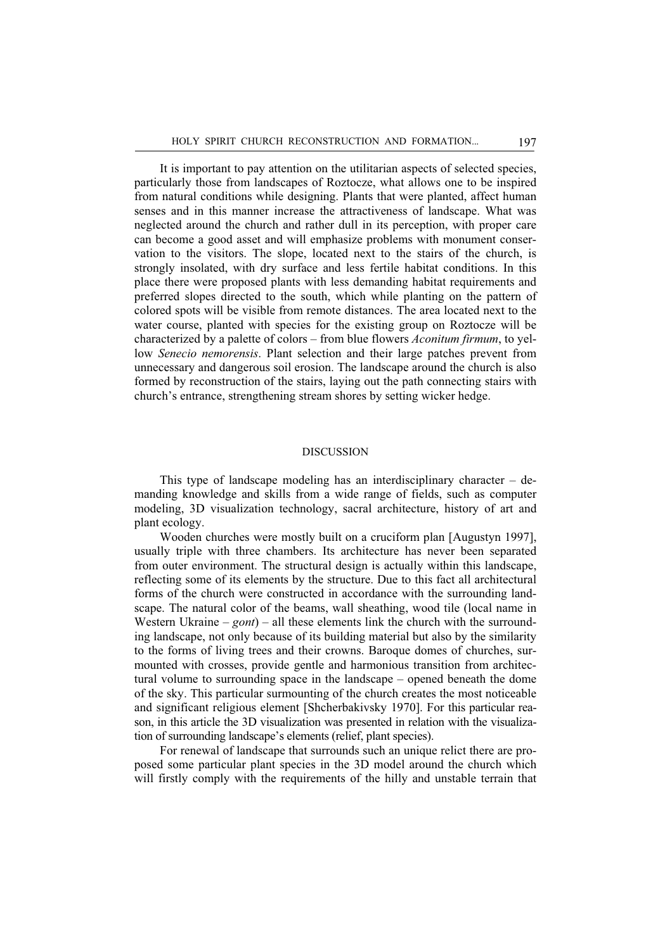It is important to pay attention on the utilitarian aspects of selected species, particularly those from landscapes of Roztocze, what allows one to be inspired from natural conditions while designing. Plants that were planted, affect human senses and in this manner increase the attractiveness of landscape. What was neglected around the church and rather dull in its perception, with proper care can become a good asset and will emphasize problems with monument conservation to the visitors. The slope, located next to the stairs of the church, is strongly insolated, with dry surface and less fertile habitat conditions. In this place there were proposed plants with less demanding habitat requirements and preferred slopes directed to the south, which while planting on the pattern of colored spots will be visible from remote distances. The area located next to the water course, planted with species for the existing group on Roztocze will be characterized by a palette of colors – from blue flowers *Aconitum firmum*, to yellow *Senecio nemorensis*. Plant selection and their large patches prevent from unnecessary and dangerous soil erosion. The landscape around the church is also formed by reconstruction of the stairs, laying out the path connecting stairs with church's entrance, strengthening stream shores by setting wicker hedge.

#### DISCUSSION

This type of landscape modeling has an interdisciplinary character  $-$  demanding knowledge and skills from a wide range of fields, such as computer modeling, 3D visualization technology, sacral architecture, history of art and plant ecology.

Wooden churches were mostly built on a cruciform plan [Augustyn 1997], usually triple with three chambers. Its architecture has never been separated from outer environment. The structural design is actually within this landscape, reflecting some of its elements by the structure. Due to this fact all architectural forms of the church were constructed in accordance with the surrounding landscape. The natural color of the beams, wall sheathing, wood tile (local name in Western Ukraine – *gont*) – all these elements link the church with the surrounding landscape, not only because of its building material but also by the similarity to the forms of living trees and their crowns. Baroque domes of churches, surmounted with crosses, provide gentle and harmonious transition from architectural volume to surrounding space in the landscape – opened beneath the dome of the sky. This particular surmounting of the church creates the most noticeable and significant religious element [Shcherbakivsky 1970]. For this particular reason, in this article the 3D visualization was presented in relation with the visualization of surrounding landscape's elements (relief, plant species).

For renewal of landscape that surrounds such an unique relict there are proposed some particular plant species in the 3D model around the church which will firstly comply with the requirements of the hilly and unstable terrain that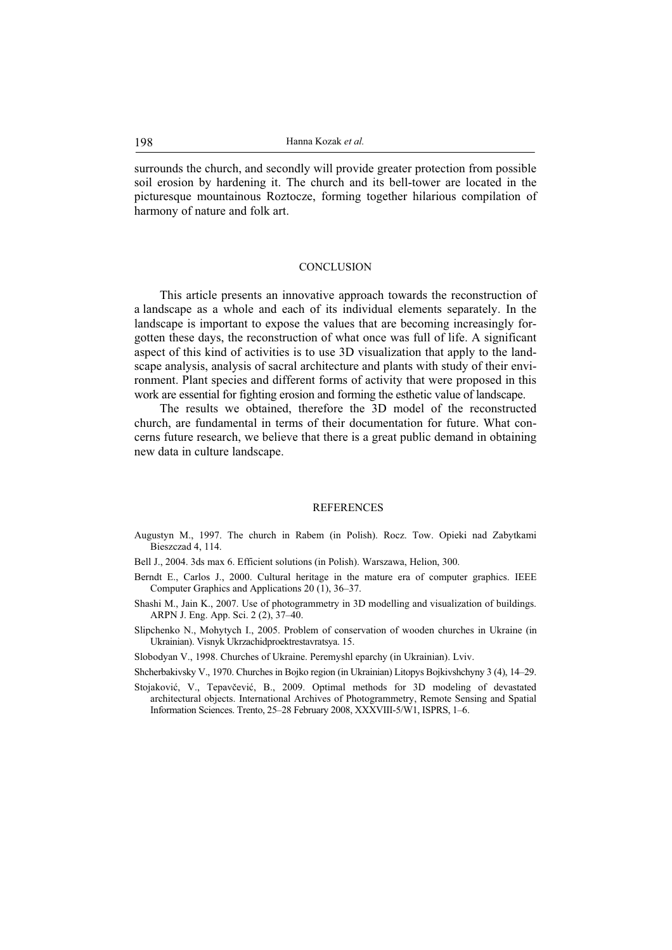surrounds the church, and secondly will provide greater protection from possible soil erosion by hardening it. The church and its bell-tower are located in the picturesque mountainous Roztocze, forming together hilarious compilation of harmony of nature and folk art.

## **CONCLUSION**

This article presents an innovative approach towards the reconstruction of a landscape as a whole and each of its individual elements separately. In the landscape is important to expose the values that are becoming increasingly forgotten these days, the reconstruction of what once was full of life. A significant aspect of this kind of activities is to use 3D visualization that apply to the landscape analysis, analysis of sacral architecture and plants with study of their environment. Plant species and different forms of activity that were proposed in this work are essential for fighting erosion and forming the esthetic value of landscape.

The results we obtained, therefore the 3D model of the reconstructed church, are fundamental in terms of their documentation for future. What concerns future research, we believe that there is a great public demand in obtaining new data in culture landscape.

#### REFERENCES

- Augustyn M., 1997. The church in Rabem (in Polish). Rocz. Tow. Opieki nad Zabytkami Bieszczad 4, 114.
- Bell J., 2004. 3ds max 6. Efficient solutions (in Polish). Warszawa, Helion, 300.
- Berndt E., Carlos J., 2000. Cultural heritage in the mature era of computer graphics. IEEE Computer Graphics and Applications 20 (1), 36–37.
- Shashi M., Jain K., 2007. Use of photogrammetry in 3D modelling and visualization of buildings. ARPN J. Eng. App. Sci. 2 (2), 37–40.
- Slipchenko N., Mohytych I., 2005. Problem of conservation of wooden churches in Ukraine (in Ukrainian). Visnyk Ukrzachidproektrestavratsya. 15.

Slobodyan V., 1998. Churches of Ukraine. Peremyshl eparchy (in Ukrainian). Lviv.

Shcherbakivsky V., 1970. Churches in Bojko region (in Ukrainian) Litopys Bojkivshchyny 3 (4), 14–29.

Stojaković, V., Tepavčević, B., 2009. Optimal methods for 3D modeling of devastated architectural objects. International Archives of Photogrammetry, Remote Sensing and Spatial Information Sciences. Trento, 25–28 February 2008, XXXVIII-5/W1, ISPRS, 1–6.